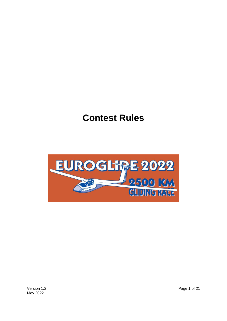# **Contest Rules**

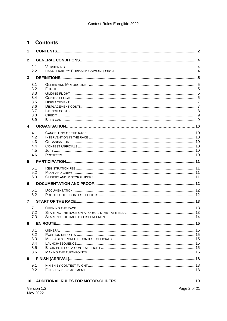# 1 Contents

| 1                       |             |              |  |  |  |  |  |
|-------------------------|-------------|--------------|--|--|--|--|--|
| $\mathbf{2}$            |             |              |  |  |  |  |  |
|                         | 2.1         |              |  |  |  |  |  |
|                         | 2.2         |              |  |  |  |  |  |
| $\mathbf{3}$            |             |              |  |  |  |  |  |
|                         | 3.1         |              |  |  |  |  |  |
|                         | 3.2         |              |  |  |  |  |  |
|                         | 3.3<br>3.4  |              |  |  |  |  |  |
|                         | 3.5         |              |  |  |  |  |  |
|                         | 3.6         |              |  |  |  |  |  |
|                         | 3.7         |              |  |  |  |  |  |
|                         | 3.8<br>3.9  |              |  |  |  |  |  |
| $\overline{\mathbf{4}}$ |             |              |  |  |  |  |  |
|                         |             |              |  |  |  |  |  |
|                         | 4.1<br>4.2  |              |  |  |  |  |  |
|                         | 4.3         |              |  |  |  |  |  |
|                         | 4.4         |              |  |  |  |  |  |
|                         | 4.5<br>4.6  |              |  |  |  |  |  |
|                         |             |              |  |  |  |  |  |
| 5                       |             |              |  |  |  |  |  |
|                         | 5.1<br>5.2  |              |  |  |  |  |  |
|                         | 5.3         |              |  |  |  |  |  |
| 6                       |             |              |  |  |  |  |  |
|                         | 6.1         |              |  |  |  |  |  |
|                         | 6.2         |              |  |  |  |  |  |
| $\overline{7}$          |             |              |  |  |  |  |  |
|                         | 7.1         |              |  |  |  |  |  |
|                         | 7.2         |              |  |  |  |  |  |
|                         | 7.3         |              |  |  |  |  |  |
| 8                       |             |              |  |  |  |  |  |
|                         | 8.1         |              |  |  |  |  |  |
|                         | 8.2         |              |  |  |  |  |  |
|                         | 8.3<br>8.4  |              |  |  |  |  |  |
|                         | 8.5         |              |  |  |  |  |  |
|                         | 8.6         |              |  |  |  |  |  |
| 9                       |             |              |  |  |  |  |  |
|                         | 9.1         |              |  |  |  |  |  |
|                         | 9.2         |              |  |  |  |  |  |
|                         |             |              |  |  |  |  |  |
|                         | 10          |              |  |  |  |  |  |
|                         | Version 1.2 | Page 2 of 21 |  |  |  |  |  |
|                         | May 2022    |              |  |  |  |  |  |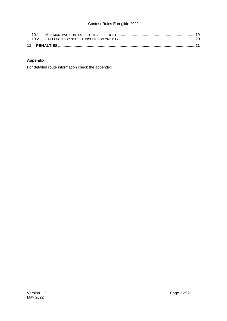### **Appendix:**

For detailed route information check the appendix!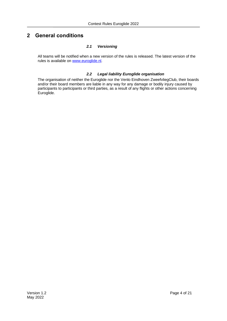## **2 General conditions**

#### *2.1 Versioning*

All teams will be notified when a new version of the rules is released. The latest version of the rules is available on [www.euroglide.nl.](http://www.euroglide.nl/)

#### *2.2 Legal liability Euroglide organisation*

The organisation of neither the Euroglide nor the Venlo Eindhoven ZweefvliegClub, their boards and/or their board members are liable in any way for any damage or bodily injury caused by participants to participants or third parties, as a result of any flights or other actions concerning Euroglide.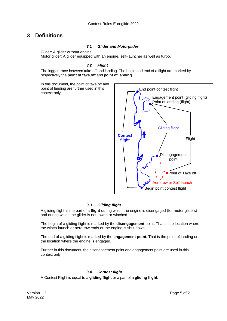## **3 Definitions**

#### *3.1 Glider and Motorglider*

Glider: A glider without engine. Motor glider: A glider equipped with an engine, self-launcher as well as turbo.

#### *3.2 Flight*

The logger trace between take-off and landing. The begin and end of a flight are marked by respectively the **point of take off** and **point of landing**.

In this document, the point of take off and point of landing are further used in this context only.



#### *3.3 Gliding flight*

A gliding flight is the part of a **flight** during which the engine is disengaged (for motor gliders) and during which the glider is not towed or winched.

The begin of a gliding flight is marked by the **disengagement** point. That is the location where the winch-launch or aero-tow ends or the engine is shut down.

The end of a gliding flight is marked by the **engagement point.** That is the point of landing or the location where the engine is engaged.

Further in this document, the disengagement point and engagement point are used in this context only.

#### *3.4 Contest flight*

A Contest Flight is equal to a **gliding flight** or a part of a **gliding flight**.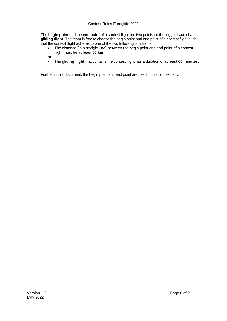The **begin point** and the **end point** of a contest flight are two points on the logger trace of a **gliding flight**. The team is free to choose the begin point and end point of a contest flight such that the contest flight adheres to one of the two following conditions:

• The distance (in a straight line) between the begin point and end point of a contest flight must be **at least 50 km**

**or**

• The **gliding flight** that contains the contest flight has a duration of **at least 60 minutes.**

Further in this document, the begin point and end point are used in this context only.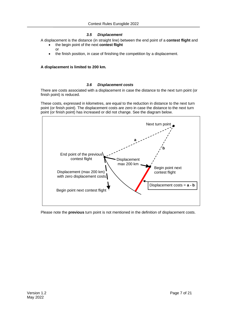#### *3.5 Displacement*

A displacement is the distance (in straight line) between the end point of a **contest flight** and

- the begin point of the next **contest flight** or
- the finish position, in case of finishing the competition by a displacement.

#### **A displacement is limited to 200 km.**

#### *3.6 Displacement costs*

There are costs associated with a displacement in case the distance to the next turn point (or finish point) is reduced.

These costs, expressed in kilometres, are equal to the reduction in distance to the next turn point (or finish point). The displacement costs are zero in case the distance to the next turn point (or finish point) has increased or did not change. See the diagram below.



Please note the **previous** turn point is not mentioned in the definition of displacement costs.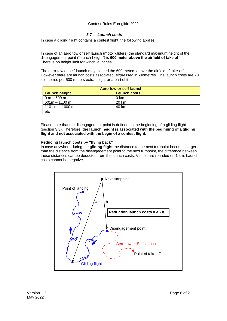#### *3.7 Launch costs*

In case a gliding flight contains a contest flight, the following applies.

In case of an aero tow or self launch (motor gliders) the standard maximum height of the disengagement point ("launch-height") is **600 meter above the airfield of take off.** There is no height limit for winch launches.

The aero-tow or self-launch may exceed the 600 meters above the airfield of take-off. However there are launch costs associated, expressed in kilometres. The launch costs are 20 kilometres per 500 meters extra height or a part of it.

| Aero tow or self-launch |                     |  |
|-------------------------|---------------------|--|
| <b>Launch height</b>    | <b>Launch costs</b> |  |
| $0 m - 600 m$           | 0 km                |  |
| $601m - 1100m$          | 20 km               |  |
| 1101 m $-$ 1600 m       | 40 km               |  |
| etc                     |                     |  |

Please note that the disengagement point is defined as the beginning of a gliding flight (section 3.3). Therefore, **the launch height is associated with the beginning of a gliding flight and not associated with the begin of a contest flight.**

#### **Reducing launch costs by "flying back"**

In case anywhere during the **gliding flight** the distance to the next turnpoint becomes larger than the distance from the disengagement point to the next turnpoint, the difference between these distances can be deducted from the launch costs. Values are rounded on 1 km. Launch costs cannot be negative.

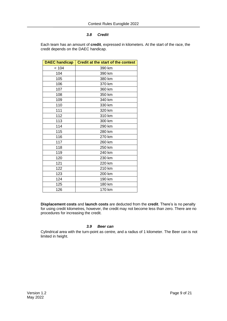#### *3.8 Credit*

Each team has an amount of **credit**, expressed in kilometers. At the start of the race, the credit depends on the DAEC handicap.

| <b>DAEC handicap</b> | <b>Credit at the start of the contest</b> |
|----------------------|-------------------------------------------|
| < 104                | 390 km                                    |
| 104                  | 390 km                                    |
| 105                  | 380 km                                    |
| 106                  | 370 km                                    |
| 107                  | 360 km                                    |
| 108                  | 350 km                                    |
| 109                  | 340 km                                    |
| 110                  | 330 km                                    |
| 111                  | 320 km                                    |
| 112                  | 310 km                                    |
| 113                  | 300 km                                    |
| 114                  | 290 km                                    |
| 115                  | 280 km                                    |
| 116                  | 270 km                                    |
| 117                  | 260 km                                    |
| 118                  | 250 km                                    |
| 119                  | 240 km                                    |
| 120                  | 230 km                                    |
| 121                  | 220 km                                    |
| 122                  | 210 km                                    |
| 123                  | 200 km                                    |
| 124                  | 190 km                                    |
| 125                  | 180 km                                    |
| 126                  | 170 km                                    |

**Displacement costs** and **launch costs** are deducted from the **credit**. There's is no penalty for using credit kilometres, however, the credit may not become less than zero. There are no procedures for increasing the credit.

#### *3.9 Beer can*

Cylindrical area with the turn-point as centre, and a radius of 1 kilometer. The Beer can is not limited in height.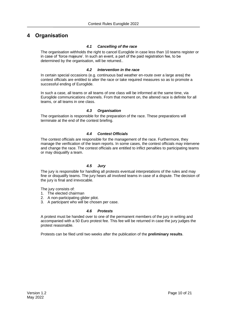## **4 Organisation**

#### *4.1 Cancelling of the race*

The organisation withholds the right to cancel Euroglide in case less than 10 teams register or in case of 'force majeure'. In such an event, a part of the paid registration fee, to be determined by the organisation, will be returned..

#### *4.2 Intervention in the race*

In certain special occasions (e.g. continuous bad weather en-route over a large area) the contest officials are entitled to alter the race or take required measures so as to promote a successful ending of Euroglide.

In such a case, all teams or all teams of one class will be informed at the same time, via Euroglide communications channels. From that moment on, the altered race is definite for all teams, or all teams in one class.

#### *4.3 Organisation*

The organisation is responsible for the preparation of the race. These preparations will terminate at the end of the contest briefing.

#### *4.4 Contest Officials*

The contest officials are responsible for the management of the race. Furthermore, they manage the verification of the team reports. In some cases, the contest officials may intervene and change the race. The contest officials are entitled to inflict penalties to participating teams or may disqualify a team.

#### *4.5 Jury*

The jury is responsible for handling all protests eventual interpretations of the rules and may fine or disqualify teams. The jury hears all involved teams in case of a dispute. The decision of the jury is final and irrevocable.

The jury consists of:

- 1. The elected chairman
- 2. A non-participating glider pilot.
- 3. A participant who will be chosen per case.

#### *4.6 Protests*

A protest must be handed over to one of the permanent members of the jury in writing and accompanied with a 50 Euro protest fee. This fee will be returned in case the jury judges the protest reasonable.

Protests can be filed until two weeks after the publication of the **preliminary results**.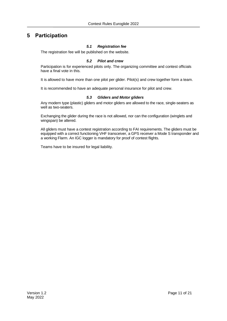## **5 Participation**

#### *5.1 Registration fee*

The registration fee will be published on the website.

#### *5.2 Pilot and crew*

Participation is for experienced pilots only. The organizing committee and contest officials have a final vote in this.

It is allowed to have more than one pilot per glider. Pilot(s) and crew together form a team.

It is recommended to have an adequate personal insurance for pilot and crew.

#### *5.3 Gliders and Motor gliders*

Any modern type (plastic) gliders and motor gliders are allowed to the race, single-seaters as well as two-seaters.

Exchanging the glider during the race is not allowed, nor can the configuration (winglets and wingspan) be altered.

All gliders must have a contest registration according to FAI requirements. The gliders must be equipped with a correct functioning VHF transceiver, a GPS receiver a Mode S transponder and a working Flarm. An IGC logger is mandatory for proof of contest flights.

Teams have to be insured for legal liability.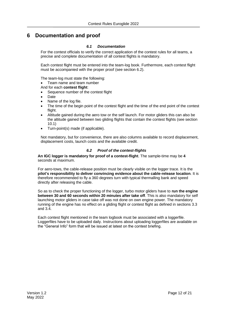## **6 Documentation and proof**

#### *6.1 Documentation*

For the contest officials to verify the correct application of the contest rules for all teams, a precise and complete documentation of all contest flights is mandatory.

Each contest flight must be entered into the team-log book. Furthermore, each contest flight must be accompanied with the proper proof (see section 6.2).

The team-log must state the following:

- Team name and team number
- And for each **contest flight**:
- Sequence number of the contest flight
- Date
- Name of the log file.
- The time of the begin point of the contest flight and the time of the end point of the contest flight.
- Altitude gained during the aero tow or the self launch. For motor gliders this can also be the altitude gained between two gliding flights that contain the contest flights (see section 10.1)
- Turn-point(s) made (if applicable).

Not mandatory, but for convenience, there are also columns available to record displacement, displacement costs, launch costs and the available credit.

#### *6.2 Proof of the contest-flights*

**An IGC logger is mandatory for proof of a contest-flight**. The sample-time may be **4**  seconds at maximum.

For aero-tows, the cable-release position must be clearly visible on the logger trace. It is the **pilot's responsibility to deliver convincing evidence about the cable-release location**. It is therefore recommended to fly a 360 degrees turn with typical thermalling bank and speed directly after releasing the cable.

So as to check the proper functioning of the logger, turbo motor gliders have to **run the engine between 30 and 60 seconds within 20 minutes after take off**. This is also mandatory for self launching motor gliders in case take off was not done on own engine power. The mandatory running of the engine has no effect on a gliding flight or contest flight as defined in sections 3.3 and 3.4.

Each contest flight mentioned in the team logbook must be associated with a loggerfile. Loggerfiles have to be uploaded daily. Instructions about uploading loggerfiles are available on the "General Info" form that will be issued at latest on the contest briefing.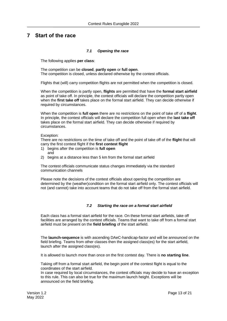## **7 Start of the race**

#### *7.1 Opening the race*

The following applies **per class**:

The competition can be **closed**, **partly open** or **full open**. The competition is closed, unless declared otherwise by the contest officials.

Flights that (will) carry competition flights are not permitted when the competition is closed.

When the competition is partly open, **flights** are permitted that have the **formal start airfield** as point of take off. In principle, the contest officials will declare the competition partly open when the **first take off** takes place on the formal start airfield. They can decide otherwise if required by circumstances.

When the competition is **full open** there are no restrictions on the point of take off of a **flight**. In principle, the contest officials will declare the competition full open when the **last take off** takes place on the formal start airfield. They can decide otherwise if required by circumstances.

#### Exception:

There are no restrictions on the time of take off and the point of take off of the **flight** that will carry the first contest flight if the **first contest flight**

- 1) begins after the competition is **full open**
- and
- 2) begins at a distance less than 5 km from the formal start airfield

The contest officials communicate status changes immediately via the standard communication channels

Please note the decisions of the contest officials about opening the competition are determined by the (weather)condition on the formal start airfield only. The contest officials will not (and cannot) take into account teams that do not take off from the formal start airfield.

#### *7.2 Starting the race on a formal start airfield*

Each class has a formal start airfield for the race. On these formal start airfields, take off facilities are arranged by the contest officials. Teams that want to take off from a formal start airfield must be present on the **field briefing** of the start airfield.

The **launch-sequence** is with ascending DAeC-handicap-factor and will be announced on the field briefing. Teams from other classes then the assigned class(es) for the start airfield, launch after the assigned class(es).

It is allowed to launch more than once on the first contest day. There is **no starting line**.

Taking off from a formal start airfield, the begin point of the contest flight is equal to the coordinates of the start airfield.

In case required by local circumstances, the contest officials may decide to have an exception to this rule. This can also be true for the maximum launch height. Exceptions will be announced on the field briefing.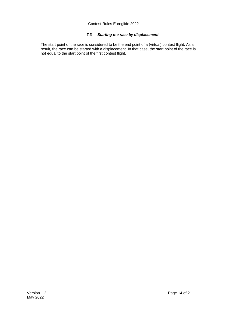#### *7.3 Starting the race by displacement*

The start point of the race is considered to be the end point of a (virtual) contest flight. As a result, the race can be started with a displacement. In that case, the start point of the race is not equal to the start point of the first contest flight.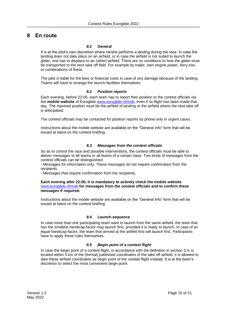## **8 En route**

#### *8.1 General*

It is at the pilot's own discretion where he/she performs a landing during the race. In case the landing does not take place on an airfield, or in case the airfield is not suited to launch the glider, one has to displace to an (other) airfield. There are no conditions to how the glider must be transported to the next take off field. For example by trailer, own engine power, ferry-tow, or combinations of these.

The pilot is liable for the fees or financial costs in case of any damage because of the landing. Teams will have to arrange the launch-facilities themselves.

#### *8.2 Position reports*

Each evening, before 22:00, each team has to report their position to the contest officials via the **mobile website** of Euroglide [www.euroglide.nl/mob,](http://www.euroglide.nl/mob) even if no flight has been made that day. The reported position must be the airfield of landing or the airfield where the next take off is anticipated.

The contest officials may be contacted for position reports by phone only in urgent cases.

Instructions about the mobile website are available on the "General Info" form that will be issued at latest on the contest briefing.

#### *8.3 Messages from the contest officials*

So as to control the race and possible interventions, the contest officials must be able to deliver messages to all teams or all teams of a certain class. Two kinds of messages from the contest officials can be distinguished.

- Messages for information only. These messages do not require confirmation from the recipients.

- Messages that require confirmation from the recipients.

**Each evening after 22:00, it is mandatory to actively check the mobile website**  [www.euroglide.nl/mob](http://www.euroglide.nl/mob) **for messages from the contest officials and to confirm these messages if required.**

Instructions about the mobile website are available on the "General Info" form that will be issued at latest on the contest briefing.

#### *8.4 Launch-sequence*

In case more than one participating team want to launch from the same airfield, the team that has the smallest handicap-factor may launch first, provided it is ready to launch. In case of an equal handicap-factor, the team that arrived at the airfield first will launch first. Participants have to apply these rules themselves.

#### *8.5 Begin point of a contest flight*

In case the begin point of a contest flight, in accordance with the definition in section 3.4, is located within 5 km of the (formal) published coordinates of the take off airfield, it is allowed to take these airfield coordinates as begin point of the contest flight instead. It is at the team's discretion to select the most convenient begin point.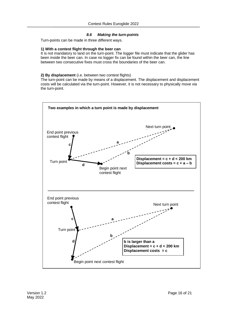#### *8.6 Making the turn-points*

Turn-points can be made in three different ways.

#### **1) With a contest flight through the beer can**

It is not mandatory to land on the turn-point. The logger file must indicate that the glider has been inside the beer can. In case no logger fix can be found within the beer can, the line between two consecutive fixes must cross the boundaries of the beer can.

#### **2) By displacement** (i.e. between two contest flights)

The turn-point can be made by means of a displacement. The displacement and displacement costs will be calculated via the turn-point. However, it is not necessary to physically move via the turn-point.

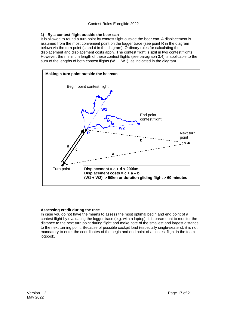#### **1) By a contest flight outside the beer can**

It is allowed to round a turn point by contest flight outside the beer can. A displacement is assumed from the most convenient point on the logger trace (see point R in the diagram below) via the turn point (c and d in the diagram). Ordinary rules for calculating the displacement and displacement costs apply. The contest flight is split in two contest flights. However, the minimum length of these contest flights (see paragraph 3.4) is applicable to the sum of the lengths of both contest flights (W1  $+$  W1), as indicated in the diagram.



#### **Assessing credit during the race**

In case you do not have the means to assess the most optimal begin and end point of a contest flight by evaluating the logger trace (e.g. with a laptop), it is paramount to monitor the distance to the next turn point during flight and make note of the smallest and largest distance to the next turning point. Because of possible cockpit load (especially single-seaters), it is not mandatory to enter the coordinates of the begin and end point of a contest flight in the team logbook.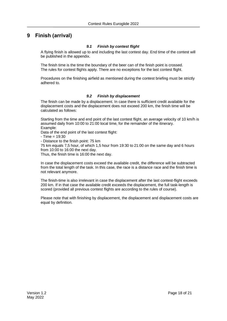## **9 Finish (arrival)**

#### *9.1 Finish by contest flight*

A flying finish is allowed up to and including the last contest day. End time of the contest will be published in the appendix.

The finish time is the time the boundary of the beer can of the finish point is crossed. The rules for contest flights apply. There are no exceptions for the last contest flight.

Procedures on the finishing airfield as mentioned during the contest briefing must be strictly adhered to.

#### *9.2 Finish by displacement*

The finish can be made by a displacement. In case there is sufficient credit available for the displacement costs and the displacement does not exceed 200 km, the finish time will be calculated as follows:

Starting from the time and end point of the last contest flight, an average velocity of 10 km/h is assumed daily from 10:00 to 21:00 local time, for the remainder of the itinerary. Example:

Data of the end point of the last contest flight:

 $-$  Time = 19:30

- Distance to the finish point: 75 km

75 km equals 7,5 hour, of which 1,5 hour from 19:30 to 21:00 on the same day and 6 hours from 10:00 to 16:00 the next day.

Thus, the finish time is 16:00 the next day.

In case the displacement costs exceed the available credit, the difference will be subtracted from the total length of the task. In this case, the race is a distance race and the finish time is not relevant anymore.

The finish-time is also irrelevant in case the displacement after the last contest-flight exceeds 200 km. If in that case the available credit exceeds the displacement, the full task-length is scored (provided all previous contest flights are according to the rules of course).

Please note that with finishing by displacement, the displacement and displacement costs are equal by definition.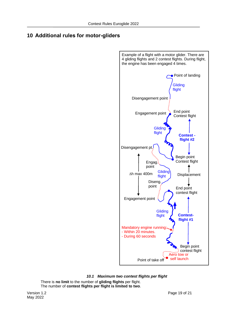## **10 Additional rules for motor-gliders**



*10.1 Maximum two contest flights per flight*

There is **no limit** to the number of **gliding flights** per flight. The number of **contest flights per flight is limited to two**.

Version 1.2 Page 19 of 21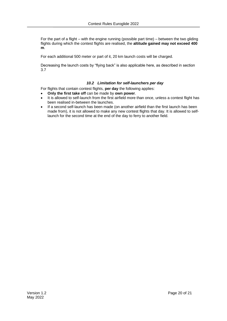For the part of a flight – with the engine running (possible part time) – between the two gliding flights during which the contest flights are realised, the **altitude gained may not exceed 400 m**.

For each additional 500 meter or part of it, 20 km launch costs will be charged.

Decreasing the launch costs by "flying back" is also applicable here, as described in section 3.7

#### *10.2 Limitation for self-launchers per day*

For flights that contain contest flights, **per day** the following applies:

- **Only the first take off** can be made by **own power**.
- It is allowed to self-launch from the first airfield more than once, unless a contest flight has been realised in-between the launches.
- If a second self-launch has been made (on another airfield than the first launch has been made from), it is not allowed to make any new contest flights that day. It is allowed to selflaunch for the second time at the end of the day to ferry to another field.